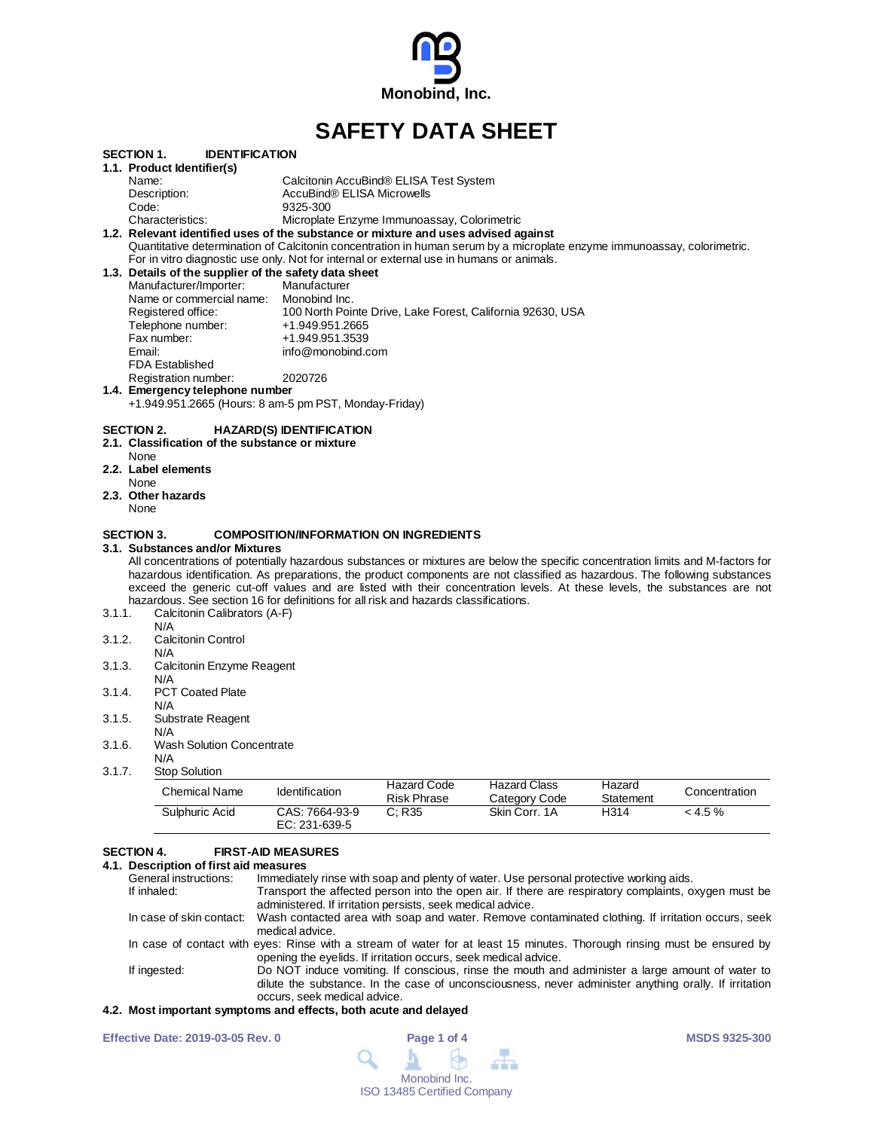

# **SAFETY DATA SHEET**

|                                      | <b>IDENTIFICATION</b><br>SECTION 1.                                                                                                                                                                                                                                                                                                                                                                                                                                                                                                                                                                                                                                                   |                                                                                         |                                             |                                                                                                                                                                                                |           |               |
|--------------------------------------|---------------------------------------------------------------------------------------------------------------------------------------------------------------------------------------------------------------------------------------------------------------------------------------------------------------------------------------------------------------------------------------------------------------------------------------------------------------------------------------------------------------------------------------------------------------------------------------------------------------------------------------------------------------------------------------|-----------------------------------------------------------------------------------------|---------------------------------------------|------------------------------------------------------------------------------------------------------------------------------------------------------------------------------------------------|-----------|---------------|
|                                      | 1.1. Product Identifier(s)                                                                                                                                                                                                                                                                                                                                                                                                                                                                                                                                                                                                                                                            |                                                                                         |                                             |                                                                                                                                                                                                |           |               |
|                                      | Name:                                                                                                                                                                                                                                                                                                                                                                                                                                                                                                                                                                                                                                                                                 |                                                                                         | Calcitonin AccuBind® ELISA Test System      |                                                                                                                                                                                                |           |               |
|                                      | Description:                                                                                                                                                                                                                                                                                                                                                                                                                                                                                                                                                                                                                                                                          | AccuBind® ELISA Microwells                                                              |                                             |                                                                                                                                                                                                |           |               |
|                                      | Code:                                                                                                                                                                                                                                                                                                                                                                                                                                                                                                                                                                                                                                                                                 | 9325-300                                                                                |                                             |                                                                                                                                                                                                |           |               |
|                                      | Characteristics:                                                                                                                                                                                                                                                                                                                                                                                                                                                                                                                                                                                                                                                                      |                                                                                         | Microplate Enzyme Immunoassay, Colorimetric |                                                                                                                                                                                                |           |               |
|                                      | 1.2. Relevant identified uses of the substance or mixture and uses advised against<br>Quantitative determination of Calcitonin concentration in human serum by a microplate enzyme immunoassay, colorimetric.                                                                                                                                                                                                                                                                                                                                                                                                                                                                         |                                                                                         |                                             |                                                                                                                                                                                                |           |               |
|                                      |                                                                                                                                                                                                                                                                                                                                                                                                                                                                                                                                                                                                                                                                                       |                                                                                         |                                             |                                                                                                                                                                                                |           |               |
|                                      | For in vitro diagnostic use only. Not for internal or external use in humans or animals.                                                                                                                                                                                                                                                                                                                                                                                                                                                                                                                                                                                              |                                                                                         |                                             |                                                                                                                                                                                                |           |               |
|                                      | 1.3. Details of the supplier of the safety data sheet                                                                                                                                                                                                                                                                                                                                                                                                                                                                                                                                                                                                                                 |                                                                                         |                                             |                                                                                                                                                                                                |           |               |
|                                      | Manufacturer/Importer:                                                                                                                                                                                                                                                                                                                                                                                                                                                                                                                                                                                                                                                                | Manufacturer                                                                            |                                             |                                                                                                                                                                                                |           |               |
|                                      | Name or commercial name:                                                                                                                                                                                                                                                                                                                                                                                                                                                                                                                                                                                                                                                              | Monobind Inc.                                                                           |                                             |                                                                                                                                                                                                |           |               |
|                                      | Registered office:                                                                                                                                                                                                                                                                                                                                                                                                                                                                                                                                                                                                                                                                    |                                                                                         |                                             | 100 North Pointe Drive, Lake Forest, California 92630, USA                                                                                                                                     |           |               |
|                                      | Telephone number:                                                                                                                                                                                                                                                                                                                                                                                                                                                                                                                                                                                                                                                                     | +1.949.951.2665                                                                         |                                             |                                                                                                                                                                                                |           |               |
|                                      | Fax number:                                                                                                                                                                                                                                                                                                                                                                                                                                                                                                                                                                                                                                                                           | +1.949.951.3539                                                                         |                                             |                                                                                                                                                                                                |           |               |
|                                      | Email:                                                                                                                                                                                                                                                                                                                                                                                                                                                                                                                                                                                                                                                                                | info@monobind.com                                                                       |                                             |                                                                                                                                                                                                |           |               |
|                                      | <b>FDA Established</b>                                                                                                                                                                                                                                                                                                                                                                                                                                                                                                                                                                                                                                                                |                                                                                         |                                             |                                                                                                                                                                                                |           |               |
|                                      | Registration number:                                                                                                                                                                                                                                                                                                                                                                                                                                                                                                                                                                                                                                                                  | 2020726                                                                                 |                                             |                                                                                                                                                                                                |           |               |
|                                      | 1.4. Emergency telephone number                                                                                                                                                                                                                                                                                                                                                                                                                                                                                                                                                                                                                                                       |                                                                                         |                                             |                                                                                                                                                                                                |           |               |
|                                      | +1.949.951.2665 (Hours: 8 am-5 pm PST, Monday-Friday)                                                                                                                                                                                                                                                                                                                                                                                                                                                                                                                                                                                                                                 |                                                                                         |                                             |                                                                                                                                                                                                |           |               |
|                                      | <b>SECTION 2.</b>                                                                                                                                                                                                                                                                                                                                                                                                                                                                                                                                                                                                                                                                     | <b>HAZARD(S) IDENTIFICATION</b>                                                         |                                             |                                                                                                                                                                                                |           |               |
|                                      | 2.1. Classification of the substance or mixture<br>None                                                                                                                                                                                                                                                                                                                                                                                                                                                                                                                                                                                                                               |                                                                                         |                                             |                                                                                                                                                                                                |           |               |
|                                      | 2.2. Label elements                                                                                                                                                                                                                                                                                                                                                                                                                                                                                                                                                                                                                                                                   |                                                                                         |                                             |                                                                                                                                                                                                |           |               |
|                                      | None                                                                                                                                                                                                                                                                                                                                                                                                                                                                                                                                                                                                                                                                                  |                                                                                         |                                             |                                                                                                                                                                                                |           |               |
|                                      | 2.3. Other hazards                                                                                                                                                                                                                                                                                                                                                                                                                                                                                                                                                                                                                                                                    |                                                                                         |                                             |                                                                                                                                                                                                |           |               |
|                                      | None                                                                                                                                                                                                                                                                                                                                                                                                                                                                                                                                                                                                                                                                                  |                                                                                         |                                             |                                                                                                                                                                                                |           |               |
| 3.1.1.<br>3.1.2.<br>3.1.3.<br>3.1.4. | <b>SECTION 3.</b><br>3.1. Substances and/or Mixtures<br>All concentrations of potentially hazardous substances or mixtures are below the specific concentration limits and M-factors for<br>hazardous identification. As preparations, the product components are not classified as hazardous. The following substances<br>exceed the generic cut-off values and are listed with their concentration levels. At these levels, the substances are not<br>hazardous. See section 16 for definitions for all risk and hazards classifications.<br>Calcitonin Calibrators (A-F)<br>N/A<br><b>Calcitonin Control</b><br>N/A<br>Calcitonin Enzyme Reagent<br>N/A<br><b>PCT Coated Plate</b> | <b>COMPOSITION/INFORMATION ON INGREDIENTS</b>                                           |                                             |                                                                                                                                                                                                |           |               |
|                                      | N/A                                                                                                                                                                                                                                                                                                                                                                                                                                                                                                                                                                                                                                                                                   |                                                                                         |                                             |                                                                                                                                                                                                |           |               |
| 3.1.5.                               | Substrate Reagent<br>N/A                                                                                                                                                                                                                                                                                                                                                                                                                                                                                                                                                                                                                                                              |                                                                                         |                                             |                                                                                                                                                                                                |           |               |
| 3.1.6.                               | <b>Wash Solution Concentrate</b><br>N/A                                                                                                                                                                                                                                                                                                                                                                                                                                                                                                                                                                                                                                               |                                                                                         |                                             |                                                                                                                                                                                                |           |               |
| 3.1.7.                               | <b>Stop Solution</b>                                                                                                                                                                                                                                                                                                                                                                                                                                                                                                                                                                                                                                                                  |                                                                                         | <b>Hazard Code</b>                          | <b>Hazard Class</b>                                                                                                                                                                            | Hazard    |               |
|                                      | <b>Chemical Name</b>                                                                                                                                                                                                                                                                                                                                                                                                                                                                                                                                                                                                                                                                  | Identification                                                                          | <b>Risk Phrase</b>                          | Category Code                                                                                                                                                                                  | Statement | Concentration |
|                                      | Sulphuric Acid                                                                                                                                                                                                                                                                                                                                                                                                                                                                                                                                                                                                                                                                        | CAS: 7664-93-9<br>EC: 231-639-5                                                         | C; R35                                      | Skin Corr, 1A                                                                                                                                                                                  | H314      | < 4.5 %       |
|                                      | <b>SECTION 4.</b><br>4.1. Description of first aid measures<br>General instructions:<br>If inhaled:                                                                                                                                                                                                                                                                                                                                                                                                                                                                                                                                                                                   | <b>FIRST-AID MEASURES</b><br>administered. If irritation persists, seek medical advice. |                                             | Immediately rinse with soap and plenty of water. Use personal protective working aids.<br>Transport the affected person into the open air. If there are respiratory complaints, oxygen must be |           |               |

In case of skin contact: Wash contacted area with soap and water. Remove contaminated clothing. If irritation occurs, seek medical advice.

In case of contact with eyes: Rinse with a stream of water for at least 15 minutes. Thorough rinsing must be ensured by opening the eyelids. If irritation occurs, seek medical advice.

If ingested: Do NOT induce vomiting. If conscious, rinse the mouth and administer a large amount of water to dilute the substance. In the case of unconsciousness, never administer anything orally. If irritation occurs, seek medical advice.

## **4.2. Most important symptoms and effects, both acute and delayed**

| <b>Effective Date: 2019-03-05 Rev. 0</b> | Page 1 of 4                        | <b>MSDS 9325-300</b> |
|------------------------------------------|------------------------------------|----------------------|
|                                          | 9 1 6 m                            |                      |
|                                          | Monobind Inc.                      |                      |
|                                          | <b>ISO 13485 Certified Company</b> |                      |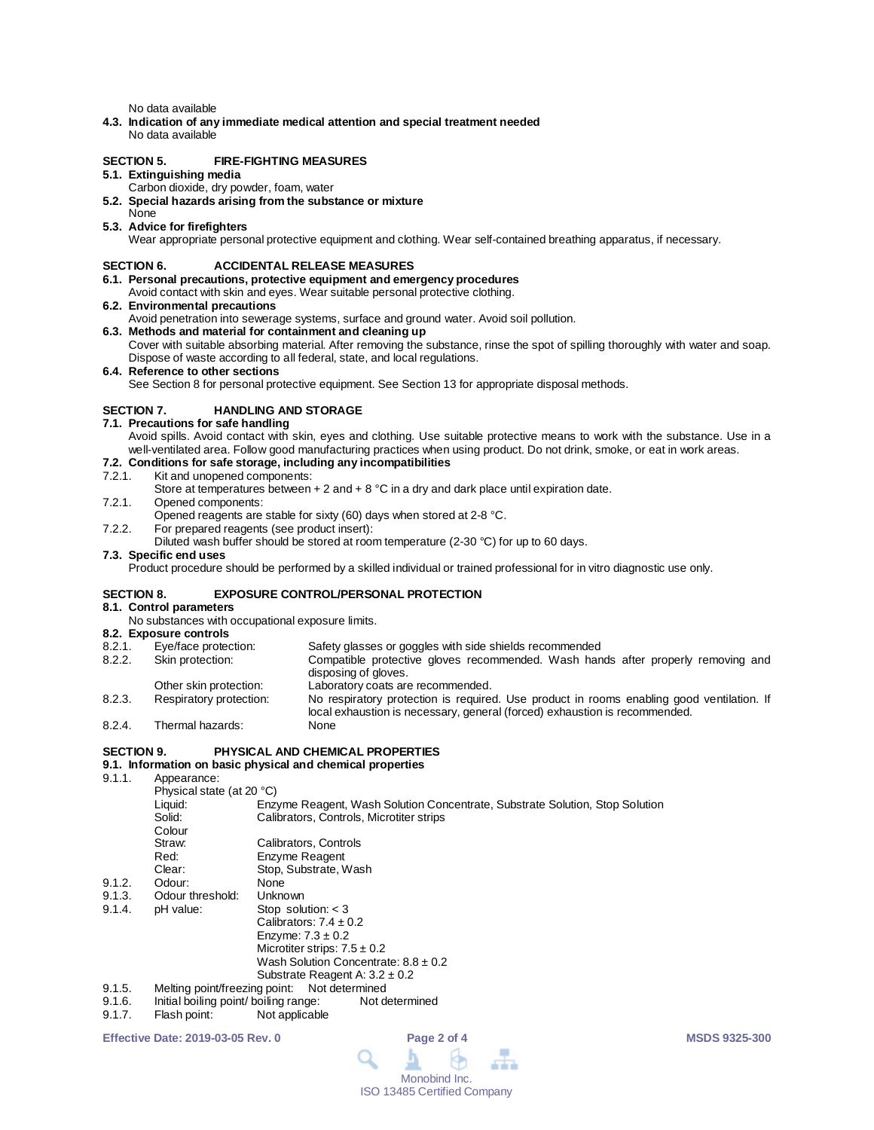No data available

**4.3. Indication of any immediate medical attention and special treatment needed** No data available

## **SECTION 5. FIRE-FIGHTING MEASURES**

# **5.1. Extinguishing media**

- Carbon dioxide, dry powder, foam, water
- **5.2. Special hazards arising from the substance or mixture**

#### None **5.3. Advice for firefighters**

Wear appropriate personal protective equipment and clothing. Wear self-contained breathing apparatus, if necessary.

## **SECTION 6. ACCIDENTAL RELEASE MEASURES**

- **6.1. Personal precautions, protective equipment and emergency procedures**
- Avoid contact with skin and eyes. Wear suitable personal protective clothing.

## **6.2. Environmental precautions**

- Avoid penetration into sewerage systems, surface and ground water. Avoid soil pollution.
- **6.3. Methods and material for containment and cleaning up**

Cover with suitable absorbing material. After removing the substance, rinse the spot of spilling thoroughly with water and soap. Dispose of waste according to all federal, state, and local regulations.

#### **6.4. Reference to other sections**

See Section 8 for personal protective equipment. See Section 13 for appropriate disposal methods.

## **SECTION 7. HANDLING AND STORAGE**

#### **7.1. Precautions for safe handling**

Avoid spills. Avoid contact with skin, eyes and clothing. Use suitable protective means to work with the substance. Use in a well-ventilated area. Follow good manufacturing practices when using product. Do not drink, smoke, or eat in work areas.

# **7.2. Conditions for safe storage, including any incompatibilities**

- Kit and unopened components:
	- Store at temperatures between  $+ 2$  and  $+ 8$  °C in a dry and dark place until expiration date.
- 7.2.1. Opened components:

Opened reagents are stable for sixty (60) days when stored at 2-8 °C.

- 7.2.2. For prepared reagents (see product insert):
- Diluted wash buffer should be stored at room temperature (2-30 °C) for up to 60 days.

### **7.3. Specific end uses**

Product procedure should be performed by a skilled individual or trained professional for in vitro diagnostic use only.

## **SECTION 8. EXPOSURE CONTROL/PERSONAL PROTECTION**

# **8.1. Control parameters**

- No substances with occupational exposure limits.
- **8.2. Exposure controls**

| 8.2.1.  | Safety glasses or goggles with side shields recommended<br>Eye/face protection: |                                                                                           |  |
|---------|---------------------------------------------------------------------------------|-------------------------------------------------------------------------------------------|--|
| 8.2.2.  | Skin protection:                                                                | Compatible protective gloves recommended. Wash hands after properly removing and          |  |
|         |                                                                                 | disposing of gloves.                                                                      |  |
|         | Other skin protection:                                                          | Laboratory coats are recommended.                                                         |  |
| $R 2 3$ | Respiratory protection:                                                         | No respiratory protection is required. Use product in rooms enabling good ventilation. If |  |

8.2.3. Respiratory protection: No respiratory protection is required. Use product in rooms enabling good ventilation. If local exhaustion is necessary, general (forced) exhaustion is recommended. 8.2.4. Thermal hazards: None

#### **SECTION 9. PHYSICAL AND CHEMICAL PROPERTIES**

### **9.1. Information on basic physical and chemical properties**

9.1.1. Appearance:

|        | Physical state (at 20 °C)     |                                                                              |
|--------|-------------------------------|------------------------------------------------------------------------------|
|        | Liquid:                       | Enzyme Reagent, Wash Solution Concentrate, Substrate Solution, Stop Solution |
|        | Solid:                        | Calibrators, Controls, Microtiter strips                                     |
|        | Colour                        |                                                                              |
|        | Straw:                        | Calibrators, Controls                                                        |
|        | Red:                          | Enzyme Reagent                                                               |
|        | Clear:                        | Stop, Substrate, Wash                                                        |
| 9.1.2. | Odour:                        | None                                                                         |
| 9.1.3. | Odour threshold:              | Unknown                                                                      |
| 9.1.4. | pH value:                     | Stop solution: $<$ 3                                                         |
|        |                               | Calibrators: $7.4 \pm 0.2$                                                   |
|        |                               | Enzyme: $7.3 \pm 0.2$                                                        |
|        |                               | Microtiter strips: $7.5 \pm 0.2$                                             |
|        |                               | Wash Solution Concentrate: $8.8 \pm 0.2$                                     |
|        |                               | Substrate Reagent A: $3.2 \pm 0.2$                                           |
| 9.1.5. | Melting point/freezing point: | Not determined                                                               |

- 9.1.6. Initial boiling point/ boiling range: Not determined<br>9.1.7. Flash point: Not applicable
- Flash point: Not applicable

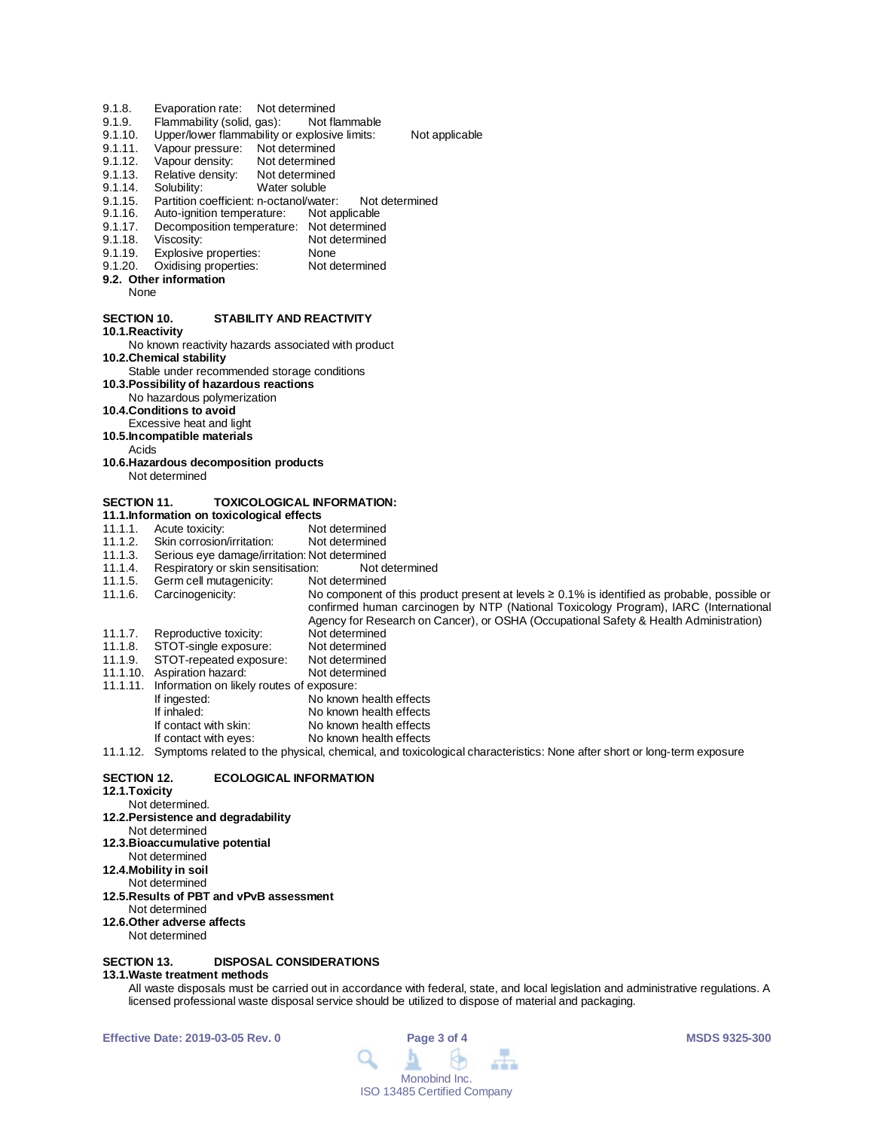- 
- 9.1.8. Evaporation rate: Not determined<br>9.1.9. Flammability (solid, gas): Not flammable
- 9.1.9. Flammability (solid, gas):<br>9.1.10. Upper/lower flammability of 9.1.10. Upper/lower flammability or explosive limits: Not applicable<br>9.1.11. Vapour pressure: Not determined
- Vapour pressure: Not determined
- 9.1.12. Vapour density: Not determined<br>9.1.13. Relative density: Not determined
- 9.1.13. Relative density:<br>9.1.14. Solubility:
- 9.1.14. Solubility: Water soluble<br>9.1.15. Partition coefficient: n-octanol/wate
- 9.1.15. Partition coefficient: n-octanol/water: Not determined<br>9.1.16. Auto-ignition temperature: Not applicable
- 9.1.16. Auto-ignition temperature:<br>9.1.17. Decomposition temperature
- 9.1.17. Decomposition temperature: Not determined<br>9.1.18. Viscosity: Not determined
- 9.1.18. Viscosity: Not determined<br>9.1.19. Explosive properties: None
- 9.1.19. Explosive properties: None<br>9.1.20. Oxidising properties: Not determined
- Oxidising properties:
- **9.2. Other information**

None

# **SECTION 10. STABILITY AND REACTIVITY**

**10.1.Reactivity**

No known reactivity hazards associated with product

- **10.2.Chemical stability** Stable under recommended storage conditions
- **10.3.Possibility of hazardous reactions**
- No hazardous polymerization
- **10.4.Conditions to avoid**
- Excessive heat and light
- **10.5.Incompatible materials**
	- Acids
- **10.6.Hazardous decomposition products** Not determined

## **SECTION 11. TOXICOLOGICAL INFORMATION:**

- 
- **11.1.Information on toxicological effects** 11.1.1. Acute toxicity: Not determined<br>11.1.2. Skin corrosion/irritation: Not determined
- 11.1.2. Skin corrosion/irritation:<br>11.1.3. Serious eve damage/irrit
- 
- 11.1.3. Serious eye damage/irritation: Not determined 11.1.4. Respiratory or skin sensitisation: Not determined
- 11.1.5. Germ cell mutagenicity:<br>11.1.6. Carcinogenicity:

No component of this product present at levels ≥ 0.1% is identified as probable, possible or confirmed human carcinogen by NTP (National Toxicology Program), IARC (International Agency for Research on Cancer), or OSHA (Occupational Safety & Health Administration)

- 11.1.7. Reproductive toxicity: Not determined<br>11.1.8. STOT-single exposure: Not determined
- 11.1.8. STOT-single exposure: Not determined<br>11.1.9. STOT-repeated exposure: Not determined STOT-repeated exposure:
- 11.1.10. Aspiration hazard: Not determined
- 11.1.11. Information on likely routes of exposure:
	- If ingested: No known health effects<br>
	If inhaled: No known health effects
	- If inhaled: No known health effects<br>If contact with skin: No known health effects
	- If contact with skin: No known health effects<br>If contact with eyes: No known health effects
	- No known health effects

11.1.12. Symptoms related to the physical, chemical, and toxicological characteristics: None after short or long-term exposure

## **SECTION 12. ECOLOGICAL INFORMATION**

- **12.1.Toxicity**
	-
- Not determined.

#### **12.2.Persistence and degradability** Not determined

- **12.3.Bioaccumulative potential**
- Not determined
- **12.4.Mobility in soil**
- Not determined
- **12.5.Results of PBT and vPvB assessment**
- Not determined
- **12.6.Other adverse affects**
- Not determined

## **SECTION 13. DISPOSAL CONSIDERATIONS**

## **13.1.Waste treatment methods**

All waste disposals must be carried out in accordance with federal, state, and local legislation and administrative regulations. A licensed professional waste disposal service should be utilized to dispose of material and packaging.